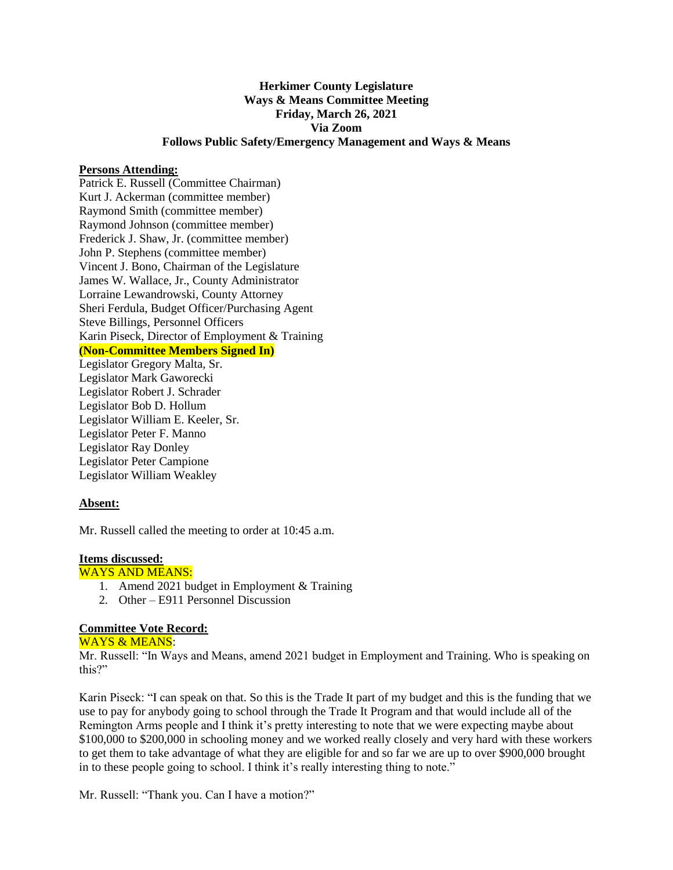# **Herkimer County Legislature Ways & Means Committee Meeting Friday, March 26, 2021 Via Zoom Follows Public Safety/Emergency Management and Ways & Means**

#### **Persons Attending:**

Patrick E. Russell (Committee Chairman) Kurt J. Ackerman (committee member) Raymond Smith (committee member) Raymond Johnson (committee member) Frederick J. Shaw, Jr. (committee member) John P. Stephens (committee member) Vincent J. Bono, Chairman of the Legislature James W. Wallace, Jr., County Administrator Lorraine Lewandrowski, County Attorney Sheri Ferdula, Budget Officer/Purchasing Agent Steve Billings, Personnel Officers Karin Piseck, Director of Employment & Training **(Non-Committee Members Signed In)** Legislator Gregory Malta, Sr. Legislator Mark Gaworecki Legislator Robert J. Schrader Legislator Bob D. Hollum Legislator William E. Keeler, Sr. Legislator Peter F. Manno Legislator Ray Donley Legislator Peter Campione Legislator William Weakley

## **Absent:**

Mr. Russell called the meeting to order at 10:45 a.m.

## **Items discussed:**

WAYS AND MEANS:

- 1. Amend 2021 budget in Employment & Training
- 2. Other E911 Personnel Discussion

## **Committee Vote Record:**

## WAYS & MEANS:

Mr. Russell: "In Ways and Means, amend 2021 budget in Employment and Training. Who is speaking on this?"

Karin Piseck: "I can speak on that. So this is the Trade It part of my budget and this is the funding that we use to pay for anybody going to school through the Trade It Program and that would include all of the Remington Arms people and I think it's pretty interesting to note that we were expecting maybe about \$100,000 to \$200,000 in schooling money and we worked really closely and very hard with these workers to get them to take advantage of what they are eligible for and so far we are up to over \$900,000 brought in to these people going to school. I think it's really interesting thing to note."

Mr. Russell: "Thank you. Can I have a motion?"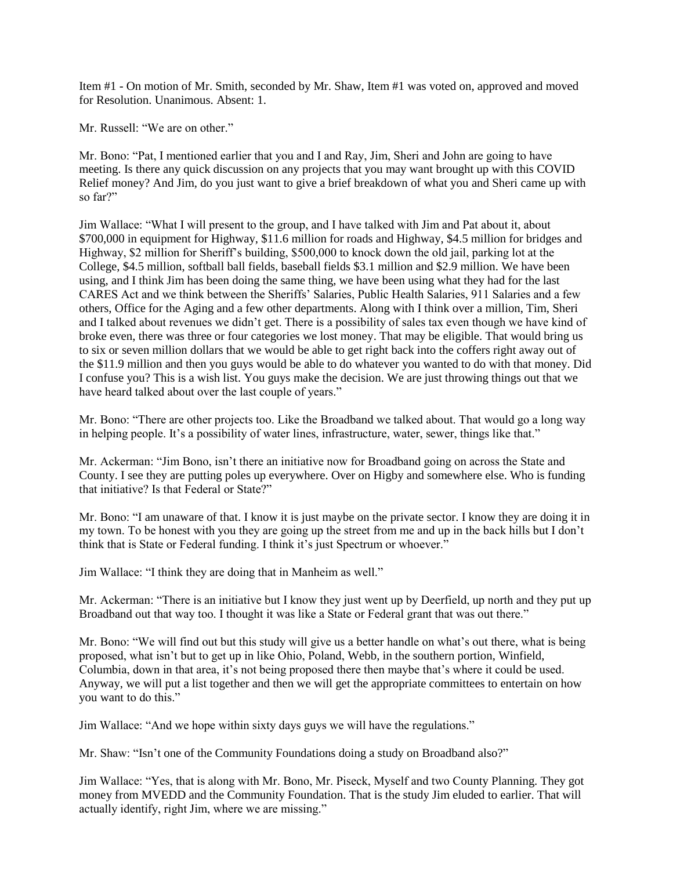Item #1 - On motion of Mr. Smith, seconded by Mr. Shaw, Item #1 was voted on, approved and moved for Resolution. Unanimous. Absent: 1.

Mr. Russell: "We are on other."

Mr. Bono: "Pat, I mentioned earlier that you and I and Ray, Jim, Sheri and John are going to have meeting. Is there any quick discussion on any projects that you may want brought up with this COVID Relief money? And Jim, do you just want to give a brief breakdown of what you and Sheri came up with so far?"

Jim Wallace: "What I will present to the group, and I have talked with Jim and Pat about it, about \$700,000 in equipment for Highway, \$11.6 million for roads and Highway, \$4.5 million for bridges and Highway, \$2 million for Sheriff's building, \$500,000 to knock down the old jail, parking lot at the College, \$4.5 million, softball ball fields, baseball fields \$3.1 million and \$2.9 million. We have been using, and I think Jim has been doing the same thing, we have been using what they had for the last CARES Act and we think between the Sheriffs' Salaries, Public Health Salaries, 911 Salaries and a few others, Office for the Aging and a few other departments. Along with I think over a million, Tim, Sheri and I talked about revenues we didn't get. There is a possibility of sales tax even though we have kind of broke even, there was three or four categories we lost money. That may be eligible. That would bring us to six or seven million dollars that we would be able to get right back into the coffers right away out of the \$11.9 million and then you guys would be able to do whatever you wanted to do with that money. Did I confuse you? This is a wish list. You guys make the decision. We are just throwing things out that we have heard talked about over the last couple of years."

Mr. Bono: "There are other projects too. Like the Broadband we talked about. That would go a long way in helping people. It's a possibility of water lines, infrastructure, water, sewer, things like that."

Mr. Ackerman: "Jim Bono, isn't there an initiative now for Broadband going on across the State and County. I see they are putting poles up everywhere. Over on Higby and somewhere else. Who is funding that initiative? Is that Federal or State?"

Mr. Bono: "I am unaware of that. I know it is just maybe on the private sector. I know they are doing it in my town. To be honest with you they are going up the street from me and up in the back hills but I don't think that is State or Federal funding. I think it's just Spectrum or whoever."

Jim Wallace: "I think they are doing that in Manheim as well."

Mr. Ackerman: "There is an initiative but I know they just went up by Deerfield, up north and they put up Broadband out that way too. I thought it was like a State or Federal grant that was out there."

Mr. Bono: "We will find out but this study will give us a better handle on what's out there, what is being proposed, what isn't but to get up in like Ohio, Poland, Webb, in the southern portion, Winfield, Columbia, down in that area, it's not being proposed there then maybe that's where it could be used. Anyway, we will put a list together and then we will get the appropriate committees to entertain on how you want to do this."

Jim Wallace: "And we hope within sixty days guys we will have the regulations."

Mr. Shaw: "Isn't one of the Community Foundations doing a study on Broadband also?"

Jim Wallace: "Yes, that is along with Mr. Bono, Mr. Piseck, Myself and two County Planning. They got money from MVEDD and the Community Foundation. That is the study Jim eluded to earlier. That will actually identify, right Jim, where we are missing."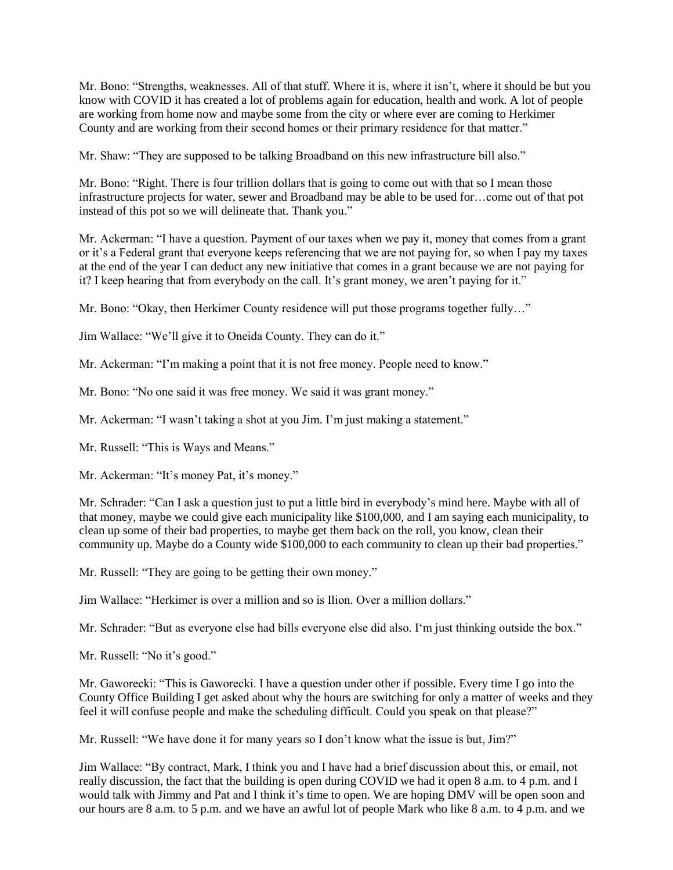Mr. Bono: "Strengths, weaknesses. All of that stuff. Where it is, where it isn't, where it should be but you know with COVID it has created a lot of problems again for education, health and work. A lot of people are working from home now and maybe some from the city or where ever are coming to Herkimer County and are working from their second homes or their primary residence for that matter."

Mr. Shaw: "They are supposed to be talking Broadband on this new infrastructure bill also."

Mr. Bono: "Right. There is four trillion dollars that is going to come out with that so I mean those infrastructure projects for water, sewer and Broadband may be able to be used for…come out of that pot instead of this pot so we will delineate that. Thank you."

Mr. Ackerman: "I have a question. Payment of our taxes when we pay it, money that comes from a grant or it's a Federal grant that everyone keeps referencing that we are not paying for, so when I pay my taxes at the end of the year I can deduct any new initiative that comes in a grant because we are not paying for it? I keep hearing that from everybody on the call. It's grant money, we aren't paying for it."

Mr. Bono: "Okay, then Herkimer County residence will put those programs together fully…"

Jim Wallace: "We'll give it to Oneida County. They can do it."

Mr. Ackerman: "I'm making a point that it is not free money. People need to know."

Mr. Bono: "No one said it was free money. We said it was grant money."

Mr. Ackerman: "I wasn't taking a shot at you Jim. I'm just making a statement."

Mr. Russell: "This is Ways and Means."

Mr. Ackerman: "It's money Pat, it's money."

Mr. Schrader: "Can I ask a question just to put a little bird in everybody's mind here. Maybe with all of that money, maybe we could give each municipality like \$100,000, and I am saying each municipality, to clean up some of their bad properties, to maybe get them back on the roll, you know, clean their community up. Maybe do a County wide \$100,000 to each community to clean up their bad properties."

Mr. Russell: "They are going to be getting their own money."

Jim Wallace: "Herkimer is over a million and so is Ilion. Over a million dollars."

Mr. Schrader: "But as everyone else had bills everyone else did also. I'm just thinking outside the box."

Mr. Russell: "No it's good."

Mr. Gaworecki: "This is Gaworecki. I have a question under other if possible. Every time I go into the County Office Building I get asked about why the hours are switching for only a matter of weeks and they feel it will confuse people and make the scheduling difficult. Could you speak on that please?"

Mr. Russell: "We have done it for many years so I don't know what the issue is but, Jim?"

Jim Wallace: "By contract, Mark, I think you and I have had a brief discussion about this, or email, not really discussion, the fact that the building is open during COVID we had it open 8 a.m. to 4 p.m. and I would talk with Jimmy and Pat and I think it's time to open. We are hoping DMV will be open soon and our hours are 8 a.m. to 5 p.m. and we have an awful lot of people Mark who like 8 a.m. to 4 p.m. and we